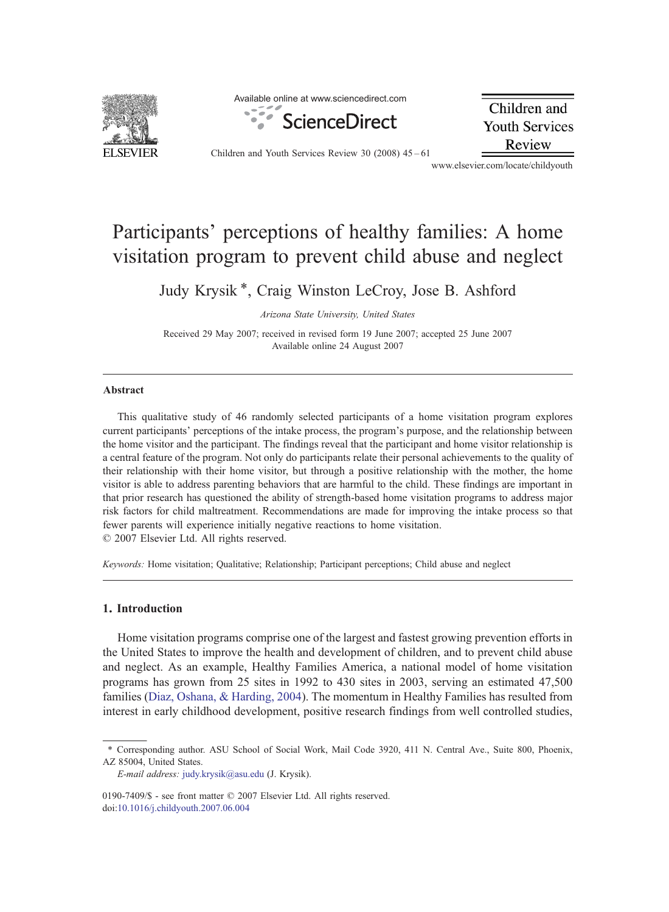

Available online at www.sciencedirect.com



Children and Youth Services Review 30 (2008) 45–61

Children and **Youth Services** Review

www.elsevier.com/locate/childyouth

# Participants' perceptions of healthy families: A home visitation program to prevent child abuse and neglect

Judy Krysik<sup>\*</sup>, Craig Winston LeCroy, Jose B. Ashford

Arizona State University, United States

Received 29 May 2007; received in revised form 19 June 2007; accepted 25 June 2007 Available online 24 August 2007

### Abstract

This qualitative study of 46 randomly selected participants of a home visitation program explores current participants' perceptions of the intake process, the program's purpose, and the relationship between the home visitor and the participant. The findings reveal that the participant and home visitor relationship is a central feature of the program. Not only do participants relate their personal achievements to the quality of their relationship with their home visitor, but through a positive relationship with the mother, the home visitor is able to address parenting behaviors that are harmful to the child. These findings are important in that prior research has questioned the ability of strength-based home visitation programs to address major risk factors for child maltreatment. Recommendations are made for improving the intake process so that fewer parents will experience initially negative reactions to home visitation. © 2007 Elsevier Ltd. All rights reserved.

Keywords: Home visitation; Qualitative; Relationship; Participant perceptions; Child abuse and neglect

### 1. Introduction

Home visitation programs comprise one of the largest and fastest growing prevention efforts in the United States to improve the health and development of children, and to prevent child abuse and neglect. As an example, Healthy Families America, a national model of home visitation programs has grown from 25 sites in 1992 to 430 sites in 2003, serving an estimated 47,500 families ([Diaz, Oshana, & Harding, 2004\)](#page-15-0). The momentum in Healthy Families has resulted from interest in early childhood development, positive research findings from well controlled studies,

<sup>⁎</sup> Corresponding author. ASU School of Social Work, Mail Code 3920, 411 N. Central Ave., Suite 800, Phoenix, AZ 85004, United States.

E-mail address: [judy.krysik@asu.edu](mailto:judy.krysik@asu.edu) (J. Krysik).

<sup>0190-7409/\$ -</sup> see front matter © 2007 Elsevier Ltd. All rights reserved. doi:[10.1016/j.childyouth.2007.06.004](http://dx.doi.org/10.1016/j.childyouth.2007.06.004)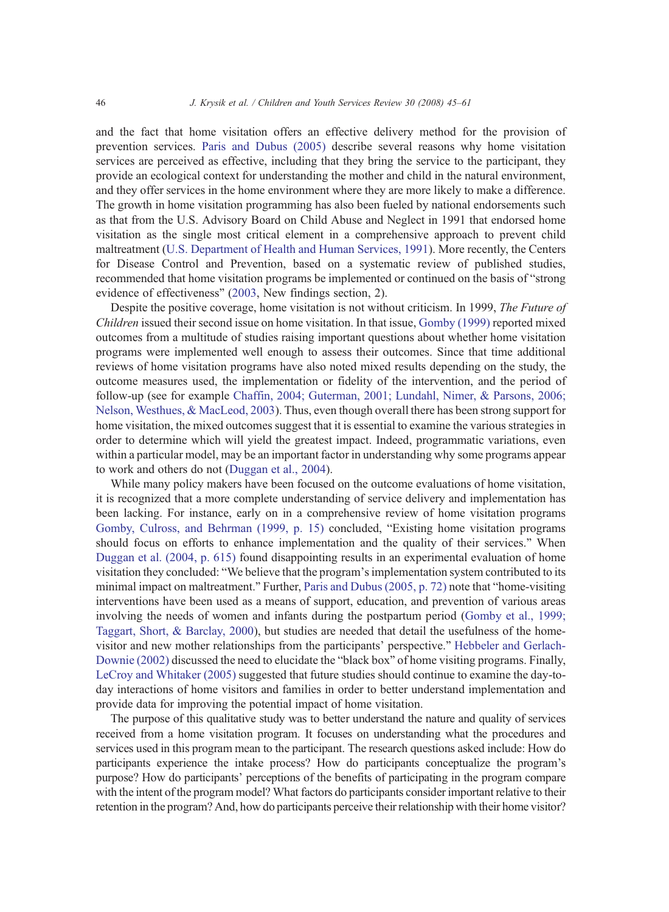and the fact that home visitation offers an effective delivery method for the provision of prevention services. [Paris and Dubus \(2005\)](#page-16-0) describe several reasons why home visitation services are perceived as effective, including that they bring the service to the participant, they provide an ecological context for understanding the mother and child in the natural environment, and they offer services in the home environment where they are more likely to make a difference. The growth in home visitation programming has also been fueled by national endorsements such as that from the U.S. Advisory Board on Child Abuse and Neglect in 1991 that endorsed home visitation as the single most critical element in a comprehensive approach to prevent child maltreatment [\(U.S. Department of Health and Human Services, 1991\)](#page-16-0). More recently, the Centers for Disease Control and Prevention, based on a systematic review of published studies, recommended that home visitation programs be implemented or continued on the basis of "strong evidence of effectiveness" ([2003,](#page-15-0) New findings section, 2).

Despite the positive coverage, home visitation is not without criticism. In 1999, The Future of Children issued their second issue on home visitation. In that issue, [Gomby \(1999\)](#page-16-0) reported mixed outcomes from a multitude of studies raising important questions about whether home visitation programs were implemented well enough to assess their outcomes. Since that time additional reviews of home visitation programs have also noted mixed results depending on the study, the outcome measures used, the implementation or fidelity of the intervention, and the period of follow-up (see for example [Chaffin, 2004; Guterman, 2001; Lundahl, Nimer, & Parsons, 2006;](#page-15-0) [Nelson, Westhues, & MacLeod, 2003\)](#page-15-0). Thus, even though overall there has been strong support for home visitation, the mixed outcomes suggest that it is essential to examine the various strategies in order to determine which will yield the greatest impact. Indeed, programmatic variations, even within a particular model, may be an important factor in understanding why some programs appear to work and others do not ([Duggan et al., 2004](#page-16-0)).

While many policy makers have been focused on the outcome evaluations of home visitation, it is recognized that a more complete understanding of service delivery and implementation has been lacking. For instance, early on in a comprehensive review of home visitation programs [Gomby, Culross, and Behrman \(1999, p. 15\)](#page-16-0) concluded, "Existing home visitation programs should focus on efforts to enhance implementation and the quality of their services." When [Duggan et al. \(2004, p. 615\)](#page-16-0) found disappointing results in an experimental evaluation of home visitation they concluded: "We believe that the program's implementation system contributed to its minimal impact on maltreatment." Further, [Paris and Dubus \(2005, p. 72\)](#page-16-0) note that "home-visiting interventions have been used as a means of support, education, and prevention of various areas involving the needs of women and infants during the postpartum period ([Gomby et al., 1999;](#page-16-0) [Taggart, Short, & Barclay, 2000\)](#page-16-0), but studies are needed that detail the usefulness of the homevisitor and new mother relationships from the participants' perspective." [Hebbeler and Gerlach-](#page-16-0)[Downie \(2002\)](#page-16-0) discussed the need to elucidate the "black box" of home visiting programs. Finally, [LeCroy and Whitaker \(2005\)](#page-16-0) suggested that future studies should continue to examine the day-today interactions of home visitors and families in order to better understand implementation and provide data for improving the potential impact of home visitation.

The purpose of this qualitative study was to better understand the nature and quality of services received from a home visitation program. It focuses on understanding what the procedures and services used in this program mean to the participant. The research questions asked include: How do participants experience the intake process? How do participants conceptualize the program's purpose? How do participants' perceptions of the benefits of participating in the program compare with the intent of the program model? What factors do participants consider important relative to their retention in the program? And, how do participants perceive their relationship with their home visitor?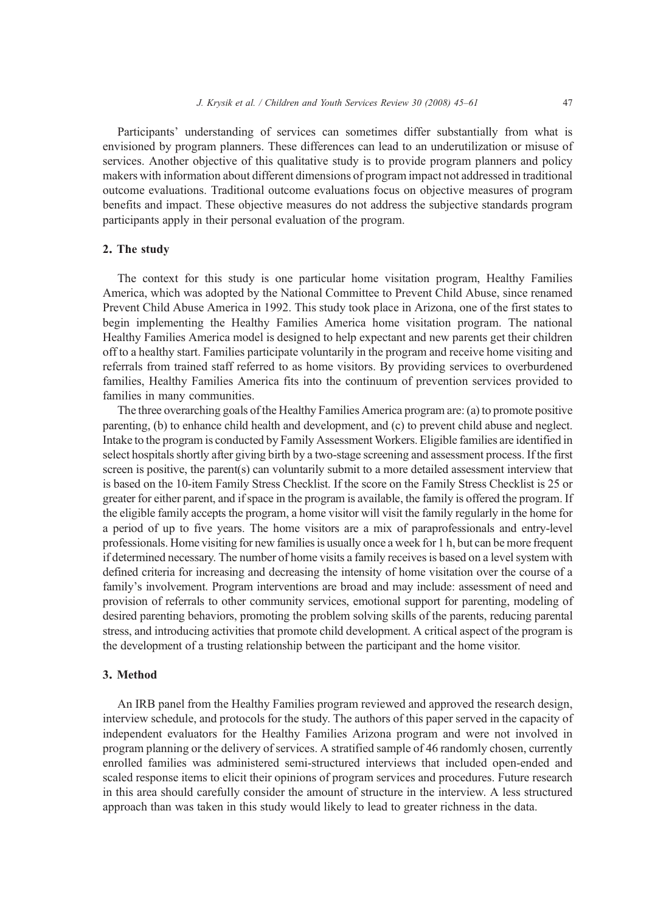Participants' understanding of services can sometimes differ substantially from what is envisioned by program planners. These differences can lead to an underutilization or misuse of services. Another objective of this qualitative study is to provide program planners and policy makers with information about different dimensions of program impact not addressed in traditional outcome evaluations. Traditional outcome evaluations focus on objective measures of program benefits and impact. These objective measures do not address the subjective standards program participants apply in their personal evaluation of the program.

## 2. The study

The context for this study is one particular home visitation program, Healthy Families America, which was adopted by the National Committee to Prevent Child Abuse, since renamed Prevent Child Abuse America in 1992. This study took place in Arizona, one of the first states to begin implementing the Healthy Families America home visitation program. The national Healthy Families America model is designed to help expectant and new parents get their children off to a healthy start. Families participate voluntarily in the program and receive home visiting and referrals from trained staff referred to as home visitors. By providing services to overburdened families, Healthy Families America fits into the continuum of prevention services provided to families in many communities.

The three overarching goals of the Healthy Families America program are: (a) to promote positive parenting, (b) to enhance child health and development, and (c) to prevent child abuse and neglect. Intake to the program is conducted by Family Assessment Workers. Eligible families are identified in select hospitals shortly after giving birth by a two-stage screening and assessment process. If the first screen is positive, the parent(s) can voluntarily submit to a more detailed assessment interview that is based on the 10-item Family Stress Checklist. If the score on the Family Stress Checklist is 25 or greater for either parent, and if space in the program is available, the family is offered the program. If the eligible family accepts the program, a home visitor will visit the family regularly in the home for a period of up to five years. The home visitors are a mix of paraprofessionals and entry-level professionals. Home visiting for new families is usually once a week for 1 h, but can be more frequent if determined necessary. The number of home visits a family receives is based on a level system with defined criteria for increasing and decreasing the intensity of home visitation over the course of a family's involvement. Program interventions are broad and may include: assessment of need and provision of referrals to other community services, emotional support for parenting, modeling of desired parenting behaviors, promoting the problem solving skills of the parents, reducing parental stress, and introducing activities that promote child development. A critical aspect of the program is the development of a trusting relationship between the participant and the home visitor.

## 3. Method

An IRB panel from the Healthy Families program reviewed and approved the research design, interview schedule, and protocols for the study. The authors of this paper served in the capacity of independent evaluators for the Healthy Families Arizona program and were not involved in program planning or the delivery of services. A stratified sample of 46 randomly chosen, currently enrolled families was administered semi-structured interviews that included open-ended and scaled response items to elicit their opinions of program services and procedures. Future research in this area should carefully consider the amount of structure in the interview. A less structured approach than was taken in this study would likely to lead to greater richness in the data.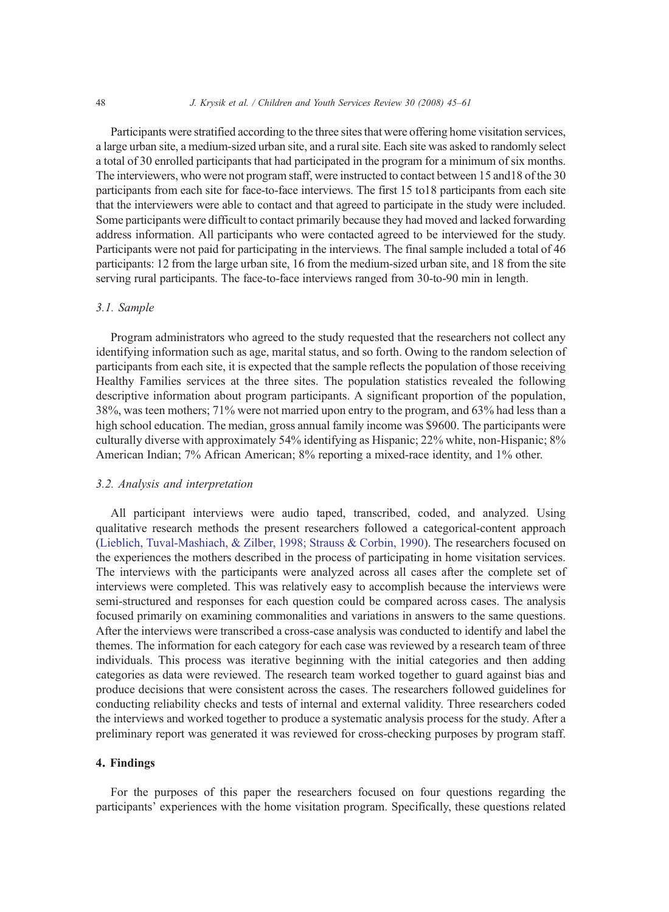Participants were stratified according to the three sites that were offering home visitation services, a large urban site, a medium-sized urban site, and a rural site. Each site was asked to randomly select a total of 30 enrolled participants that had participated in the program for a minimum of six months. The interviewers, who were not program staff, were instructed to contact between 15 and18 of the 30 participants from each site for face-to-face interviews. The first 15 to18 participants from each site that the interviewers were able to contact and that agreed to participate in the study were included. Some participants were difficult to contact primarily because they had moved and lacked forwarding address information. All participants who were contacted agreed to be interviewed for the study. Participants were not paid for participating in the interviews. The final sample included a total of 46 participants: 12 from the large urban site, 16 from the medium-sized urban site, and 18 from the site serving rural participants. The face-to-face interviews ranged from 30-to-90 min in length.

## 3.1. Sample

Program administrators who agreed to the study requested that the researchers not collect any identifying information such as age, marital status, and so forth. Owing to the random selection of participants from each site, it is expected that the sample reflects the population of those receiving Healthy Families services at the three sites. The population statistics revealed the following descriptive information about program participants. A significant proportion of the population, 38%, was teen mothers; 71% were not married upon entry to the program, and 63% had less than a high school education. The median, gross annual family income was \$9600. The participants were culturally diverse with approximately 54% identifying as Hispanic; 22% white, non-Hispanic; 8% American Indian; 7% African American; 8% reporting a mixed-race identity, and 1% other.

#### 3.2. Analysis and interpretation

All participant interviews were audio taped, transcribed, coded, and analyzed. Using qualitative research methods the present researchers followed a categorical-content approach [\(Lieblich, Tuval-Mashiach, & Zilber, 1998; Strauss & Corbin, 1990](#page-16-0)). The researchers focused on the experiences the mothers described in the process of participating in home visitation services. The interviews with the participants were analyzed across all cases after the complete set of interviews were completed. This was relatively easy to accomplish because the interviews were semi-structured and responses for each question could be compared across cases. The analysis focused primarily on examining commonalities and variations in answers to the same questions. After the interviews were transcribed a cross-case analysis was conducted to identify and label the themes. The information for each category for each case was reviewed by a research team of three individuals. This process was iterative beginning with the initial categories and then adding categories as data were reviewed. The research team worked together to guard against bias and produce decisions that were consistent across the cases. The researchers followed guidelines for conducting reliability checks and tests of internal and external validity. Three researchers coded the interviews and worked together to produce a systematic analysis process for the study. After a preliminary report was generated it was reviewed for cross-checking purposes by program staff.

#### 4. Findings

For the purposes of this paper the researchers focused on four questions regarding the participants' experiences with the home visitation program. Specifically, these questions related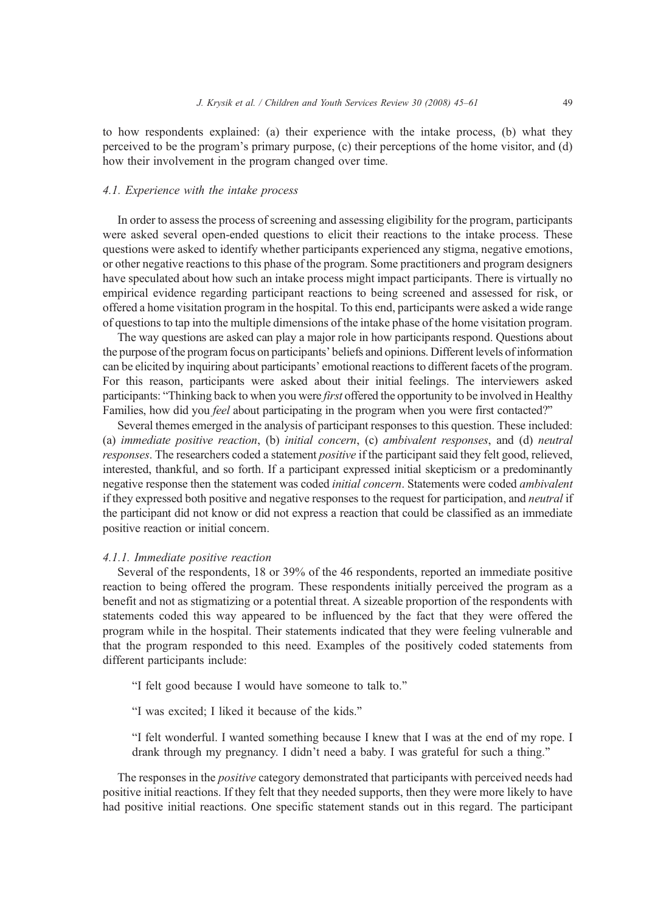to how respondents explained: (a) their experience with the intake process, (b) what they perceived to be the program's primary purpose, (c) their perceptions of the home visitor, and (d) how their involvement in the program changed over time.

## 4.1. Experience with the intake process

In order to assess the process of screening and assessing eligibility for the program, participants were asked several open-ended questions to elicit their reactions to the intake process. These questions were asked to identify whether participants experienced any stigma, negative emotions, or other negative reactions to this phase of the program. Some practitioners and program designers have speculated about how such an intake process might impact participants. There is virtually no empirical evidence regarding participant reactions to being screened and assessed for risk, or offered a home visitation program in the hospital. To this end, participants were asked a wide range of questions to tap into the multiple dimensions of the intake phase of the home visitation program.

The way questions are asked can play a major role in how participants respond. Questions about the purpose of the program focus on participants' beliefs and opinions. Different levels of information can be elicited by inquiring about participants' emotional reactions to different facets of the program. For this reason, participants were asked about their initial feelings. The interviewers asked participants: "Thinking back to when you were first offered the opportunity to be involved in Healthy Families, how did you *feel* about participating in the program when you were first contacted?"

Several themes emerged in the analysis of participant responses to this question. These included: (a) immediate positive reaction, (b) initial concern, (c) ambivalent responses, and (d) neutral responses. The researchers coded a statement positive if the participant said they felt good, relieved, interested, thankful, and so forth. If a participant expressed initial skepticism or a predominantly negative response then the statement was coded *initial concern*. Statements were coded *ambivalent* if they expressed both positive and negative responses to the request for participation, and neutral if the participant did not know or did not express a reaction that could be classified as an immediate positive reaction or initial concern.

### 4.1.1. Immediate positive reaction

Several of the respondents, 18 or 39% of the 46 respondents, reported an immediate positive reaction to being offered the program. These respondents initially perceived the program as a benefit and not as stigmatizing or a potential threat. A sizeable proportion of the respondents with statements coded this way appeared to be influenced by the fact that they were offered the program while in the hospital. Their statements indicated that they were feeling vulnerable and that the program responded to this need. Examples of the positively coded statements from different participants include:

- "I felt good because I would have someone to talk to."
- "I was excited; I liked it because of the kids."

"I felt wonderful. I wanted something because I knew that I was at the end of my rope. I drank through my pregnancy. I didn't need a baby. I was grateful for such a thing."

The responses in the *positive* category demonstrated that participants with perceived needs had positive initial reactions. If they felt that they needed supports, then they were more likely to have had positive initial reactions. One specific statement stands out in this regard. The participant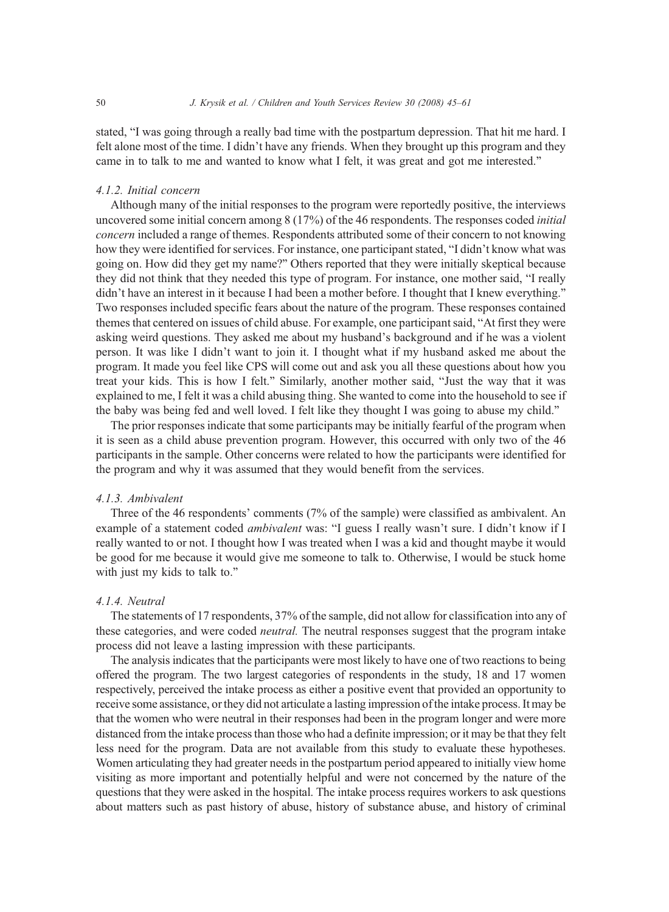stated, "I was going through a really bad time with the postpartum depression. That hit me hard. I felt alone most of the time. I didn't have any friends. When they brought up this program and they came in to talk to me and wanted to know what I felt, it was great and got me interested."

# 4.1.2. Initial concern

Although many of the initial responses to the program were reportedly positive, the interviews uncovered some initial concern among 8 (17%) of the 46 respondents. The responses coded *initial* concern included a range of themes. Respondents attributed some of their concern to not knowing how they were identified for services. For instance, one participant stated, "I didn't know what was going on. How did they get my name?" Others reported that they were initially skeptical because they did not think that they needed this type of program. For instance, one mother said, "I really didn't have an interest in it because I had been a mother before. I thought that I knew everything." Two responses included specific fears about the nature of the program. These responses contained themes that centered on issues of child abuse. For example, one participant said, "At first they were asking weird questions. They asked me about my husband's background and if he was a violent person. It was like I didn't want to join it. I thought what if my husband asked me about the program. It made you feel like CPS will come out and ask you all these questions about how you treat your kids. This is how I felt." Similarly, another mother said, "Just the way that it was explained to me, I felt it was a child abusing thing. She wanted to come into the household to see if the baby was being fed and well loved. I felt like they thought I was going to abuse my child."

The prior responses indicate that some participants may be initially fearful of the program when it is seen as a child abuse prevention program. However, this occurred with only two of the 46 participants in the sample. Other concerns were related to how the participants were identified for the program and why it was assumed that they would benefit from the services.

### 4.1.3. Ambivalent

Three of the 46 respondents' comments (7% of the sample) were classified as ambivalent. An example of a statement coded *ambivalent* was: "I guess I really wasn't sure. I didn't know if I really wanted to or not. I thought how I was treated when I was a kid and thought maybe it would be good for me because it would give me someone to talk to. Otherwise, I would be stuck home with just my kids to talk to."

#### 4.1.4. Neutral

The statements of 17 respondents, 37% of the sample, did not allow for classification into any of these categories, and were coded *neutral*. The neutral responses suggest that the program intake process did not leave a lasting impression with these participants.

The analysis indicates that the participants were most likely to have one of two reactions to being offered the program. The two largest categories of respondents in the study, 18 and 17 women respectively, perceived the intake process as either a positive event that provided an opportunity to receive some assistance, or they did not articulate a lasting impression of the intake process. It may be that the women who were neutral in their responses had been in the program longer and were more distanced from the intake process than those who had a definite impression; or it may be that they felt less need for the program. Data are not available from this study to evaluate these hypotheses. Women articulating they had greater needs in the postpartum period appeared to initially view home visiting as more important and potentially helpful and were not concerned by the nature of the questions that they were asked in the hospital. The intake process requires workers to ask questions about matters such as past history of abuse, history of substance abuse, and history of criminal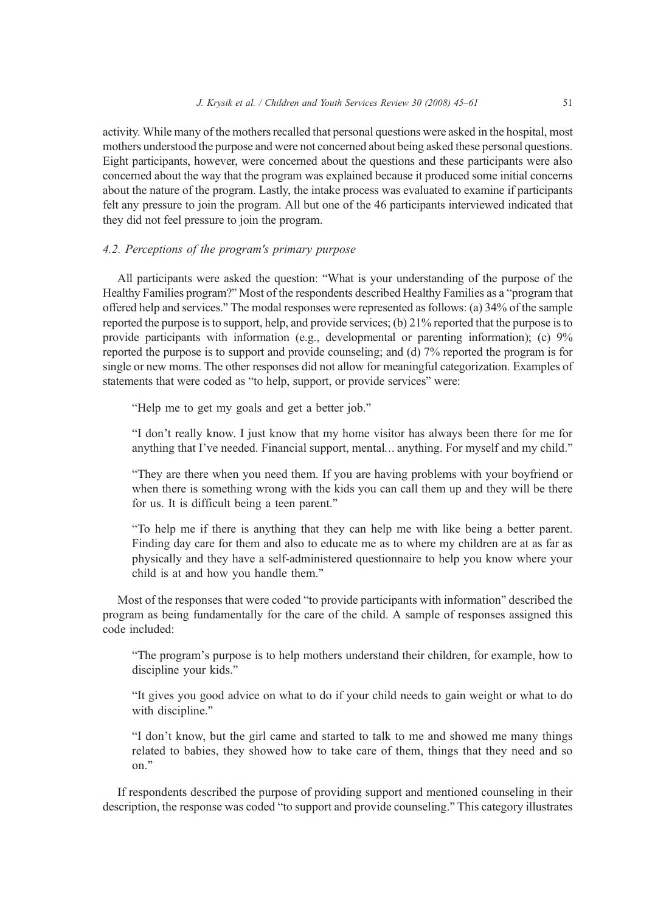activity. While many of the mothers recalled that personal questions were asked in the hospital, most mothers understood the purpose and were not concerned about being asked these personal questions. Eight participants, however, were concerned about the questions and these participants were also concerned about the way that the program was explained because it produced some initial concerns about the nature of the program. Lastly, the intake process was evaluated to examine if participants felt any pressure to join the program. All but one of the 46 participants interviewed indicated that they did not feel pressure to join the program.

# 4.2. Perceptions of the program's primary purpose

All participants were asked the question: "What is your understanding of the purpose of the Healthy Families program?" Most of the respondents described Healthy Families as a "program that offered help and services." The modal responses were represented as follows: (a) 34% of the sample reported the purpose is to support, help, and provide services; (b) 21% reported that the purpose is to provide participants with information (e.g., developmental or parenting information); (c) 9% reported the purpose is to support and provide counseling; and (d) 7% reported the program is for single or new moms. The other responses did not allow for meaningful categorization. Examples of statements that were coded as "to help, support, or provide services" were:

"Help me to get my goals and get a better job."

"I don't really know. I just know that my home visitor has always been there for me for anything that I've needed. Financial support, mental… anything. For myself and my child."

"They are there when you need them. If you are having problems with your boyfriend or when there is something wrong with the kids you can call them up and they will be there for us. It is difficult being a teen parent."

"To help me if there is anything that they can help me with like being a better parent. Finding day care for them and also to educate me as to where my children are at as far as physically and they have a self-administered questionnaire to help you know where your child is at and how you handle them."

Most of the responses that were coded "to provide participants with information" described the program as being fundamentally for the care of the child. A sample of responses assigned this code included:

"The program's purpose is to help mothers understand their children, for example, how to discipline your kids."

"It gives you good advice on what to do if your child needs to gain weight or what to do with discipline."

"I don't know, but the girl came and started to talk to me and showed me many things related to babies, they showed how to take care of them, things that they need and so on."

If respondents described the purpose of providing support and mentioned counseling in their description, the response was coded "to support and provide counseling." This category illustrates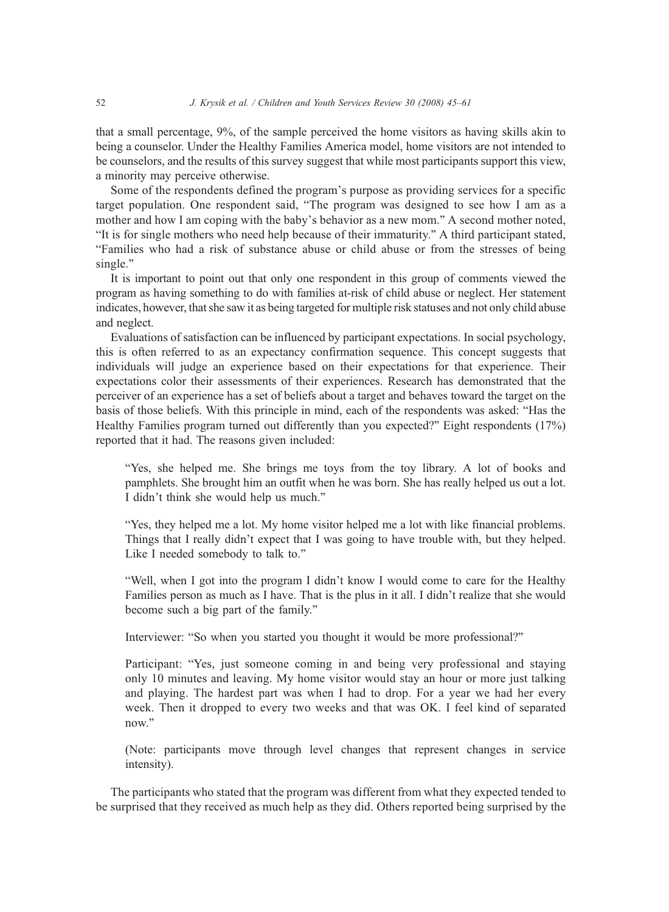that a small percentage, 9%, of the sample perceived the home visitors as having skills akin to being a counselor. Under the Healthy Families America model, home visitors are not intended to be counselors, and the results of this survey suggest that while most participants support this view, a minority may perceive otherwise.

Some of the respondents defined the program's purpose as providing services for a specific target population. One respondent said, "The program was designed to see how I am as a mother and how I am coping with the baby's behavior as a new mom." A second mother noted, "It is for single mothers who need help because of their immaturity." A third participant stated, "Families who had a risk of substance abuse or child abuse or from the stresses of being single."

It is important to point out that only one respondent in this group of comments viewed the program as having something to do with families at-risk of child abuse or neglect. Her statement indicates, however, that she saw it as being targeted for multiple risk statuses and not only child abuse and neglect.

Evaluations of satisfaction can be influenced by participant expectations. In social psychology, this is often referred to as an expectancy confirmation sequence. This concept suggests that individuals will judge an experience based on their expectations for that experience. Their expectations color their assessments of their experiences. Research has demonstrated that the perceiver of an experience has a set of beliefs about a target and behaves toward the target on the basis of those beliefs. With this principle in mind, each of the respondents was asked: "Has the Healthy Families program turned out differently than you expected?" Eight respondents (17%) reported that it had. The reasons given included:

"Yes, she helped me. She brings me toys from the toy library. A lot of books and pamphlets. She brought him an outfit when he was born. She has really helped us out a lot. I didn't think she would help us much."

"Yes, they helped me a lot. My home visitor helped me a lot with like financial problems. Things that I really didn't expect that I was going to have trouble with, but they helped. Like I needed somebody to talk to."

"Well, when I got into the program I didn't know I would come to care for the Healthy Families person as much as I have. That is the plus in it all. I didn't realize that she would become such a big part of the family."

Interviewer: "So when you started you thought it would be more professional?"

Participant: "Yes, just someone coming in and being very professional and staying only 10 minutes and leaving. My home visitor would stay an hour or more just talking and playing. The hardest part was when I had to drop. For a year we had her every week. Then it dropped to every two weeks and that was OK. I feel kind of separated now."

(Note: participants move through level changes that represent changes in service intensity).

The participants who stated that the program was different from what they expected tended to be surprised that they received as much help as they did. Others reported being surprised by the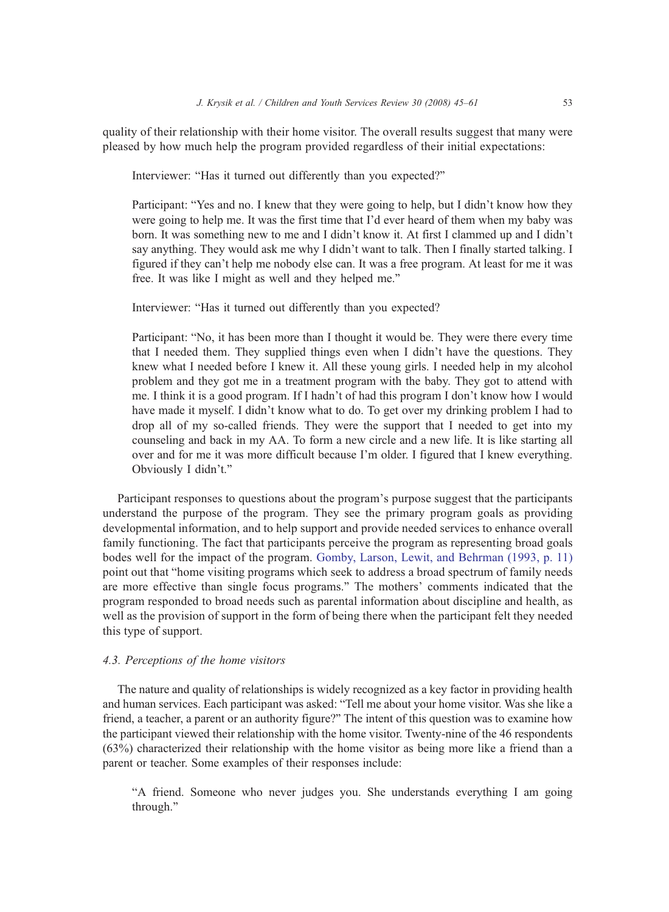quality of their relationship with their home visitor. The overall results suggest that many were pleased by how much help the program provided regardless of their initial expectations:

Interviewer: "Has it turned out differently than you expected?"

Participant: "Yes and no. I knew that they were going to help, but I didn't know how they were going to help me. It was the first time that I'd ever heard of them when my baby was born. It was something new to me and I didn't know it. At first I clammed up and I didn't say anything. They would ask me why I didn't want to talk. Then I finally started talking. I figured if they can't help me nobody else can. It was a free program. At least for me it was free. It was like I might as well and they helped me."

Interviewer: "Has it turned out differently than you expected?

Participant: "No, it has been more than I thought it would be. They were there every time that I needed them. They supplied things even when I didn't have the questions. They knew what I needed before I knew it. All these young girls. I needed help in my alcohol problem and they got me in a treatment program with the baby. They got to attend with me. I think it is a good program. If I hadn't of had this program I don't know how I would have made it myself. I didn't know what to do. To get over my drinking problem I had to drop all of my so-called friends. They were the support that I needed to get into my counseling and back in my AA. To form a new circle and a new life. It is like starting all over and for me it was more difficult because I'm older. I figured that I knew everything. Obviously I didn't."

Participant responses to questions about the program's purpose suggest that the participants understand the purpose of the program. They see the primary program goals as providing developmental information, and to help support and provide needed services to enhance overall family functioning. The fact that participants perceive the program as representing broad goals bodes well for the impact of the program. [Gomby, Larson, Lewit, and Behrman \(1993, p. 11\)](#page-16-0) point out that "home visiting programs which seek to address a broad spectrum of family needs are more effective than single focus programs." The mothers' comments indicated that the program responded to broad needs such as parental information about discipline and health, as well as the provision of support in the form of being there when the participant felt they needed this type of support.

## 4.3. Perceptions of the home visitors

The nature and quality of relationships is widely recognized as a key factor in providing health and human services. Each participant was asked: "Tell me about your home visitor. Was she like a friend, a teacher, a parent or an authority figure?" The intent of this question was to examine how the participant viewed their relationship with the home visitor. Twenty-nine of the 46 respondents (63%) characterized their relationship with the home visitor as being more like a friend than a parent or teacher. Some examples of their responses include:

"A friend. Someone who never judges you. She understands everything I am going through."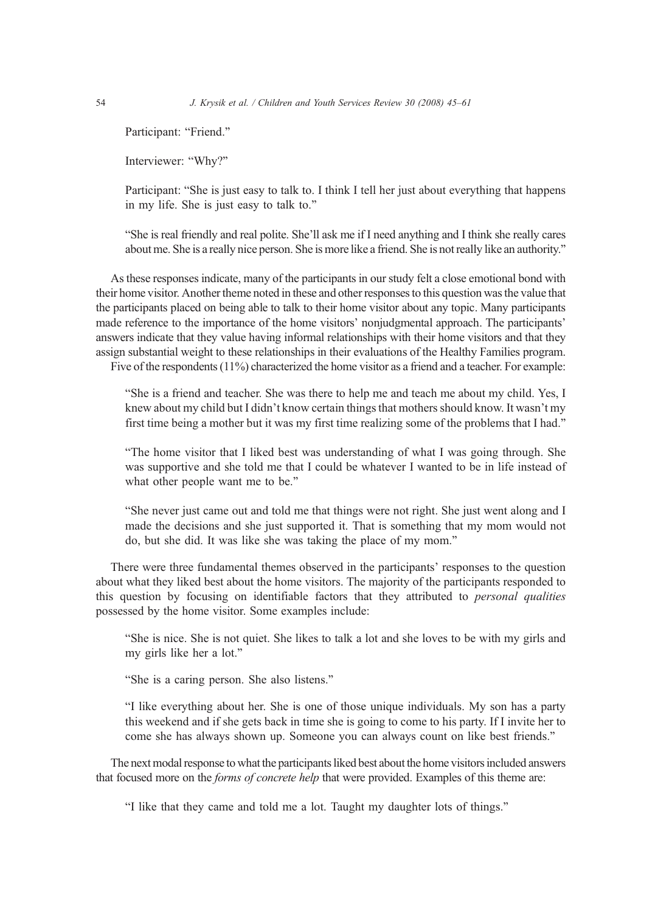Participant: "Friend."

Interviewer: "Why?"

Participant: "She is just easy to talk to. I think I tell her just about everything that happens in my life. She is just easy to talk to."

"She is real friendly and real polite. She'll ask me if I need anything and I think she really cares about me. She is a really nice person. She is more like a friend. She is not really like an authority."

As these responses indicate, many of the participants in our study felt a close emotional bond with their home visitor. Another theme noted in these and other responses to this question was the value that the participants placed on being able to talk to their home visitor about any topic. Many participants made reference to the importance of the home visitors' nonjudgmental approach. The participants' answers indicate that they value having informal relationships with their home visitors and that they assign substantial weight to these relationships in their evaluations of the Healthy Families program. Five of the respondents (11%) characterized the home visitor as a friend and a teacher. For example:

"She is a friend and teacher. She was there to help me and teach me about my child. Yes, I knew about my child but I didn't know certain things that mothers should know. It wasn't my first time being a mother but it was my first time realizing some of the problems that I had."

"The home visitor that I liked best was understanding of what I was going through. She was supportive and she told me that I could be whatever I wanted to be in life instead of what other people want me to be."

"She never just came out and told me that things were not right. She just went along and I made the decisions and she just supported it. That is something that my mom would not do, but she did. It was like she was taking the place of my mom."

There were three fundamental themes observed in the participants' responses to the question about what they liked best about the home visitors. The majority of the participants responded to this question by focusing on identifiable factors that they attributed to *personal qualities* possessed by the home visitor. Some examples include:

"She is nice. She is not quiet. She likes to talk a lot and she loves to be with my girls and my girls like her a lot."

"She is a caring person. She also listens."

"I like everything about her. She is one of those unique individuals. My son has a party this weekend and if she gets back in time she is going to come to his party. If I invite her to come she has always shown up. Someone you can always count on like best friends."

The next modal response to what the participants liked best about the home visitors included answers that focused more on the *forms of concrete help* that were provided. Examples of this theme are:

"I like that they came and told me a lot. Taught my daughter lots of things."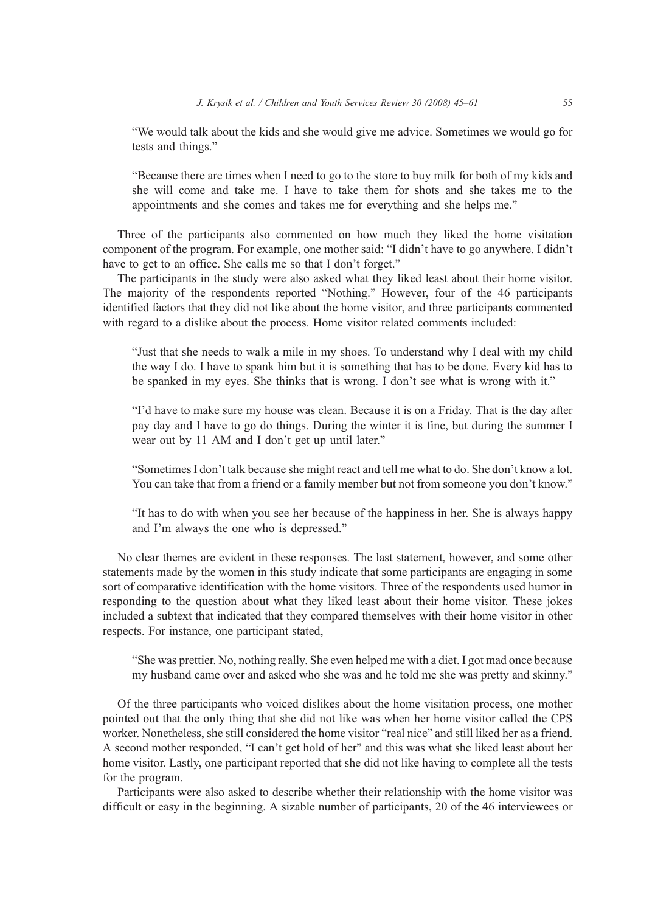"We would talk about the kids and she would give me advice. Sometimes we would go for tests and things."

"Because there are times when I need to go to the store to buy milk for both of my kids and she will come and take me. I have to take them for shots and she takes me to the appointments and she comes and takes me for everything and she helps me."

Three of the participants also commented on how much they liked the home visitation component of the program. For example, one mother said: "I didn't have to go anywhere. I didn't have to get to an office. She calls me so that I don't forget."

The participants in the study were also asked what they liked least about their home visitor. The majority of the respondents reported "Nothing." However, four of the 46 participants identified factors that they did not like about the home visitor, and three participants commented with regard to a dislike about the process. Home visitor related comments included:

"Just that she needs to walk a mile in my shoes. To understand why I deal with my child the way I do. I have to spank him but it is something that has to be done. Every kid has to be spanked in my eyes. She thinks that is wrong. I don't see what is wrong with it."

"I'd have to make sure my house was clean. Because it is on a Friday. That is the day after pay day and I have to go do things. During the winter it is fine, but during the summer I wear out by 11 AM and I don't get up until later."

"Sometimes I don't talk because she might react and tell me what to do. She don't know a lot. You can take that from a friend or a family member but not from someone you don't know."

"It has to do with when you see her because of the happiness in her. She is always happy and I'm always the one who is depressed."

No clear themes are evident in these responses. The last statement, however, and some other statements made by the women in this study indicate that some participants are engaging in some sort of comparative identification with the home visitors. Three of the respondents used humor in responding to the question about what they liked least about their home visitor. These jokes included a subtext that indicated that they compared themselves with their home visitor in other respects. For instance, one participant stated,

"She was prettier. No, nothing really. She even helped me with a diet. I got mad once because my husband came over and asked who she was and he told me she was pretty and skinny."

Of the three participants who voiced dislikes about the home visitation process, one mother pointed out that the only thing that she did not like was when her home visitor called the CPS worker. Nonetheless, she still considered the home visitor "real nice" and still liked her as a friend. A second mother responded, "I can't get hold of her" and this was what she liked least about her home visitor. Lastly, one participant reported that she did not like having to complete all the tests for the program.

Participants were also asked to describe whether their relationship with the home visitor was difficult or easy in the beginning. A sizable number of participants, 20 of the 46 interviewees or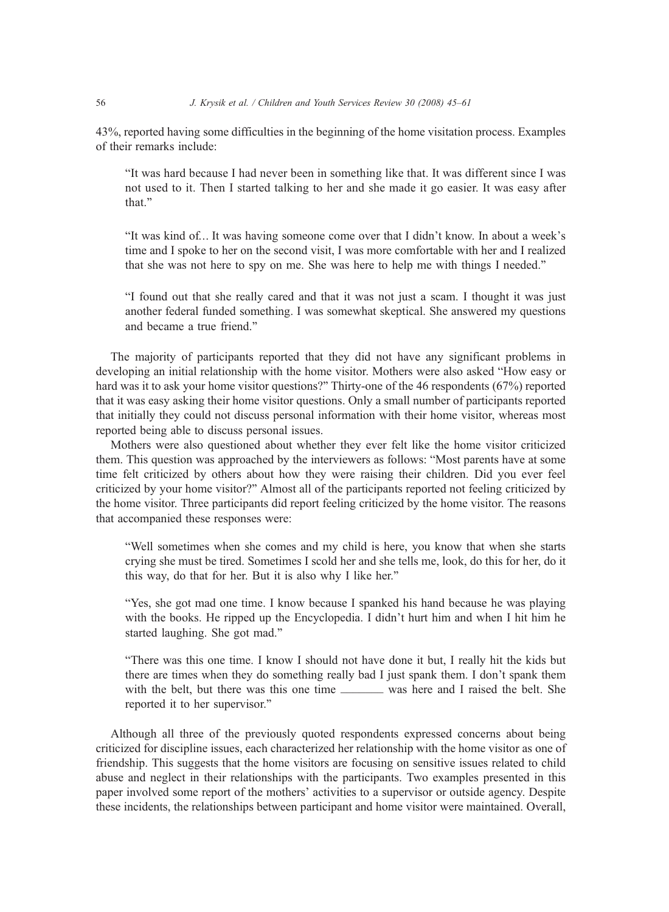43%, reported having some difficulties in the beginning of the home visitation process. Examples of their remarks include:

"It was hard because I had never been in something like that. It was different since I was not used to it. Then I started talking to her and she made it go easier. It was easy after that."

"It was kind of… It was having someone come over that I didn't know. In about a week's time and I spoke to her on the second visit, I was more comfortable with her and I realized that she was not here to spy on me. She was here to help me with things I needed."

"I found out that she really cared and that it was not just a scam. I thought it was just another federal funded something. I was somewhat skeptical. She answered my questions and became a true friend."

The majority of participants reported that they did not have any significant problems in developing an initial relationship with the home visitor. Mothers were also asked "How easy or hard was it to ask your home visitor questions?" Thirty-one of the 46 respondents (67%) reported that it was easy asking their home visitor questions. Only a small number of participants reported that initially they could not discuss personal information with their home visitor, whereas most reported being able to discuss personal issues.

Mothers were also questioned about whether they ever felt like the home visitor criticized them. This question was approached by the interviewers as follows: "Most parents have at some time felt criticized by others about how they were raising their children. Did you ever feel criticized by your home visitor?" Almost all of the participants reported not feeling criticized by the home visitor. Three participants did report feeling criticized by the home visitor. The reasons that accompanied these responses were:

"Well sometimes when she comes and my child is here, you know that when she starts crying she must be tired. Sometimes I scold her and she tells me, look, do this for her, do it this way, do that for her. But it is also why I like her."

"Yes, she got mad one time. I know because I spanked his hand because he was playing with the books. He ripped up the Encyclopedia. I didn't hurt him and when I hit him he started laughing. She got mad."

"There was this one time. I know I should not have done it but, I really hit the kids but there are times when they do something really bad I just spank them. I don't spank them with the belt, but there was this one time \_\_\_\_\_\_\_\_\_ was here and I raised the belt. She reported it to her supervisor."

Although all three of the previously quoted respondents expressed concerns about being criticized for discipline issues, each characterized her relationship with the home visitor as one of friendship. This suggests that the home visitors are focusing on sensitive issues related to child abuse and neglect in their relationships with the participants. Two examples presented in this paper involved some report of the mothers' activities to a supervisor or outside agency. Despite these incidents, the relationships between participant and home visitor were maintained. Overall,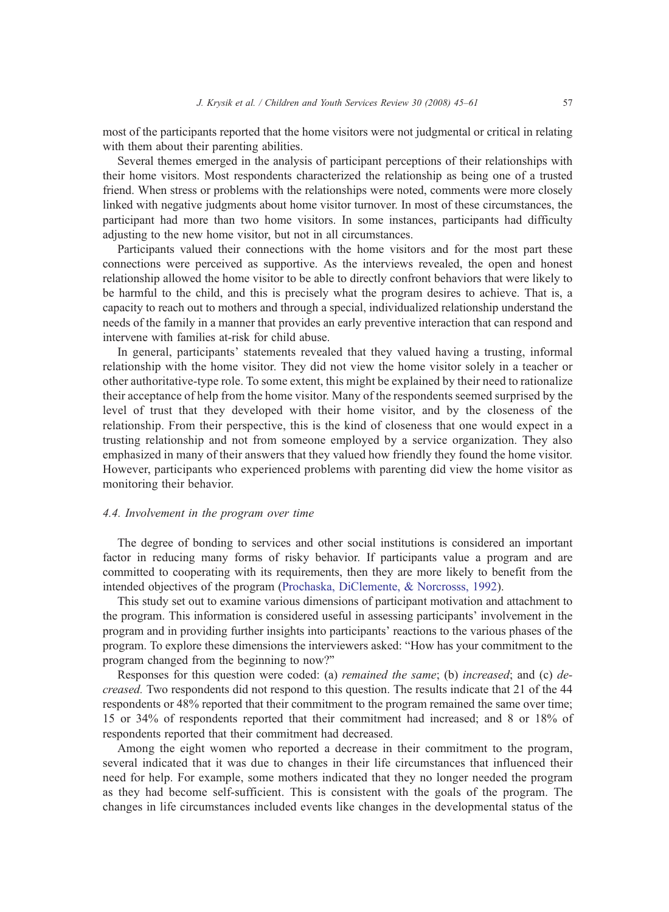most of the participants reported that the home visitors were not judgmental or critical in relating with them about their parenting abilities.

Several themes emerged in the analysis of participant perceptions of their relationships with their home visitors. Most respondents characterized the relationship as being one of a trusted friend. When stress or problems with the relationships were noted, comments were more closely linked with negative judgments about home visitor turnover. In most of these circumstances, the participant had more than two home visitors. In some instances, participants had difficulty adjusting to the new home visitor, but not in all circumstances.

Participants valued their connections with the home visitors and for the most part these connections were perceived as supportive. As the interviews revealed, the open and honest relationship allowed the home visitor to be able to directly confront behaviors that were likely to be harmful to the child, and this is precisely what the program desires to achieve. That is, a capacity to reach out to mothers and through a special, individualized relationship understand the needs of the family in a manner that provides an early preventive interaction that can respond and intervene with families at-risk for child abuse.

In general, participants' statements revealed that they valued having a trusting, informal relationship with the home visitor. They did not view the home visitor solely in a teacher or other authoritative-type role. To some extent, this might be explained by their need to rationalize their acceptance of help from the home visitor. Many of the respondents seemed surprised by the level of trust that they developed with their home visitor, and by the closeness of the relationship. From their perspective, this is the kind of closeness that one would expect in a trusting relationship and not from someone employed by a service organization. They also emphasized in many of their answers that they valued how friendly they found the home visitor. However, participants who experienced problems with parenting did view the home visitor as monitoring their behavior.

#### 4.4. Involvement in the program over time

The degree of bonding to services and other social institutions is considered an important factor in reducing many forms of risky behavior. If participants value a program and are committed to cooperating with its requirements, then they are more likely to benefit from the intended objectives of the program ([Prochaska, DiClemente, & Norcrosss, 1992\)](#page-16-0).

This study set out to examine various dimensions of participant motivation and attachment to the program. This information is considered useful in assessing participants' involvement in the program and in providing further insights into participants' reactions to the various phases of the program. To explore these dimensions the interviewers asked: "How has your commitment to the program changed from the beginning to now?"

Responses for this question were coded: (a) *remained the same*; (b) *increased*; and (c) *de*creased. Two respondents did not respond to this question. The results indicate that 21 of the 44 respondents or 48% reported that their commitment to the program remained the same over time; 15 or 34% of respondents reported that their commitment had increased; and 8 or 18% of respondents reported that their commitment had decreased.

Among the eight women who reported a decrease in their commitment to the program, several indicated that it was due to changes in their life circumstances that influenced their need for help. For example, some mothers indicated that they no longer needed the program as they had become self-sufficient. This is consistent with the goals of the program. The changes in life circumstances included events like changes in the developmental status of the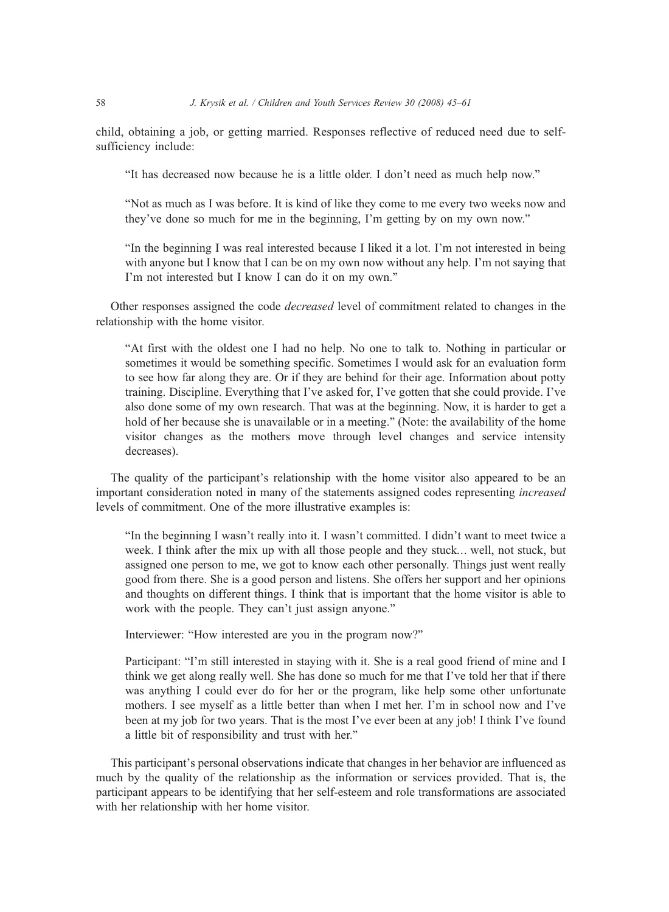child, obtaining a job, or getting married. Responses reflective of reduced need due to selfsufficiency include:

"It has decreased now because he is a little older. I don't need as much help now."

"Not as much as I was before. It is kind of like they come to me every two weeks now and they've done so much for me in the beginning, I'm getting by on my own now."

"In the beginning I was real interested because I liked it a lot. I'm not interested in being with anyone but I know that I can be on my own now without any help. I'm not saying that I'm not interested but I know I can do it on my own."

Other responses assigned the code decreased level of commitment related to changes in the relationship with the home visitor.

"At first with the oldest one I had no help. No one to talk to. Nothing in particular or sometimes it would be something specific. Sometimes I would ask for an evaluation form to see how far along they are. Or if they are behind for their age. Information about potty training. Discipline. Everything that I've asked for, I've gotten that she could provide. I've also done some of my own research. That was at the beginning. Now, it is harder to get a hold of her because she is unavailable or in a meeting." (Note: the availability of the home visitor changes as the mothers move through level changes and service intensity decreases).

The quality of the participant's relationship with the home visitor also appeared to be an important consideration noted in many of the statements assigned codes representing increased levels of commitment. One of the more illustrative examples is:

"In the beginning I wasn't really into it. I wasn't committed. I didn't want to meet twice a week. I think after the mix up with all those people and they stuck… well, not stuck, but assigned one person to me, we got to know each other personally. Things just went really good from there. She is a good person and listens. She offers her support and her opinions and thoughts on different things. I think that is important that the home visitor is able to work with the people. They can't just assign anyone."

Interviewer: "How interested are you in the program now?"

Participant: "I'm still interested in staying with it. She is a real good friend of mine and I think we get along really well. She has done so much for me that I've told her that if there was anything I could ever do for her or the program, like help some other unfortunate mothers. I see myself as a little better than when I met her. I'm in school now and I've been at my job for two years. That is the most I've ever been at any job! I think I've found a little bit of responsibility and trust with her."

This participant's personal observations indicate that changes in her behavior are influenced as much by the quality of the relationship as the information or services provided. That is, the participant appears to be identifying that her self-esteem and role transformations are associated with her relationship with her home visitor.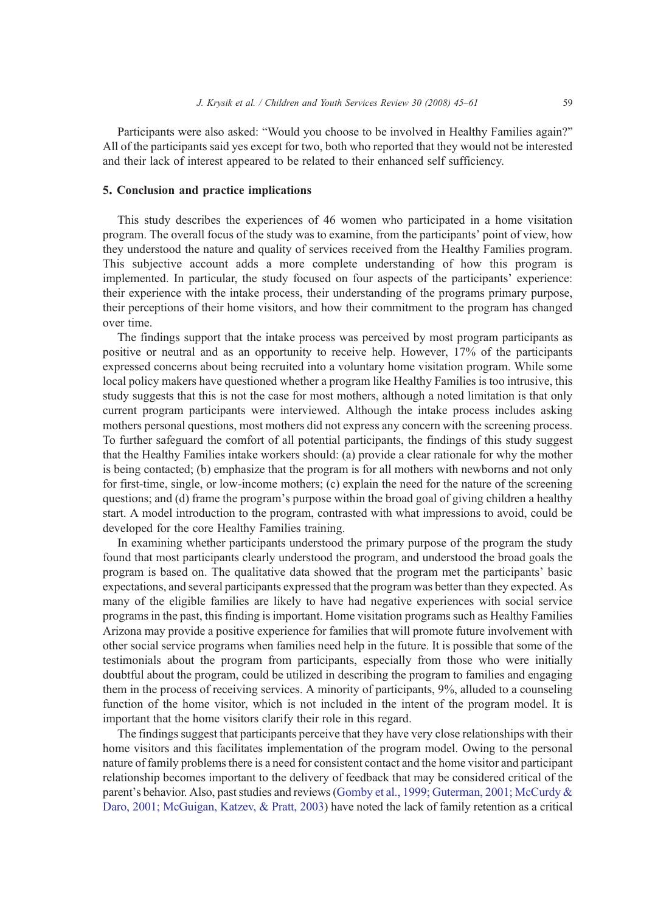Participants were also asked: "Would you choose to be involved in Healthy Families again?" All of the participants said yes except for two, both who reported that they would not be interested and their lack of interest appeared to be related to their enhanced self sufficiency.

## 5. Conclusion and practice implications

This study describes the experiences of 46 women who participated in a home visitation program. The overall focus of the study was to examine, from the participants' point of view, how they understood the nature and quality of services received from the Healthy Families program. This subjective account adds a more complete understanding of how this program is implemented. In particular, the study focused on four aspects of the participants' experience: their experience with the intake process, their understanding of the programs primary purpose, their perceptions of their home visitors, and how their commitment to the program has changed over time.

The findings support that the intake process was perceived by most program participants as positive or neutral and as an opportunity to receive help. However, 17% of the participants expressed concerns about being recruited into a voluntary home visitation program. While some local policy makers have questioned whether a program like Healthy Families is too intrusive, this study suggests that this is not the case for most mothers, although a noted limitation is that only current program participants were interviewed. Although the intake process includes asking mothers personal questions, most mothers did not express any concern with the screening process. To further safeguard the comfort of all potential participants, the findings of this study suggest that the Healthy Families intake workers should: (a) provide a clear rationale for why the mother is being contacted; (b) emphasize that the program is for all mothers with newborns and not only for first-time, single, or low-income mothers; (c) explain the need for the nature of the screening questions; and (d) frame the program's purpose within the broad goal of giving children a healthy start. A model introduction to the program, contrasted with what impressions to avoid, could be developed for the core Healthy Families training.

In examining whether participants understood the primary purpose of the program the study found that most participants clearly understood the program, and understood the broad goals the program is based on. The qualitative data showed that the program met the participants' basic expectations, and several participants expressed that the program was better than they expected. As many of the eligible families are likely to have had negative experiences with social service programs in the past, this finding is important. Home visitation programs such as Healthy Families Arizona may provide a positive experience for families that will promote future involvement with other social service programs when families need help in the future. It is possible that some of the testimonials about the program from participants, especially from those who were initially doubtful about the program, could be utilized in describing the program to families and engaging them in the process of receiving services. A minority of participants, 9%, alluded to a counseling function of the home visitor, which is not included in the intent of the program model. It is important that the home visitors clarify their role in this regard.

The findings suggest that participants perceive that they have very close relationships with their home visitors and this facilitates implementation of the program model. Owing to the personal nature of family problems there is a need for consistent contact and the home visitor and participant relationship becomes important to the delivery of feedback that may be considered critical of the parent's behavior. Also, past studies and reviews [\(Gomby et al., 1999; Guterman, 2001; McCurdy &](#page-16-0) [Daro, 2001; McGuigan, Katzev, & Pratt, 2003\)](#page-16-0) have noted the lack of family retention as a critical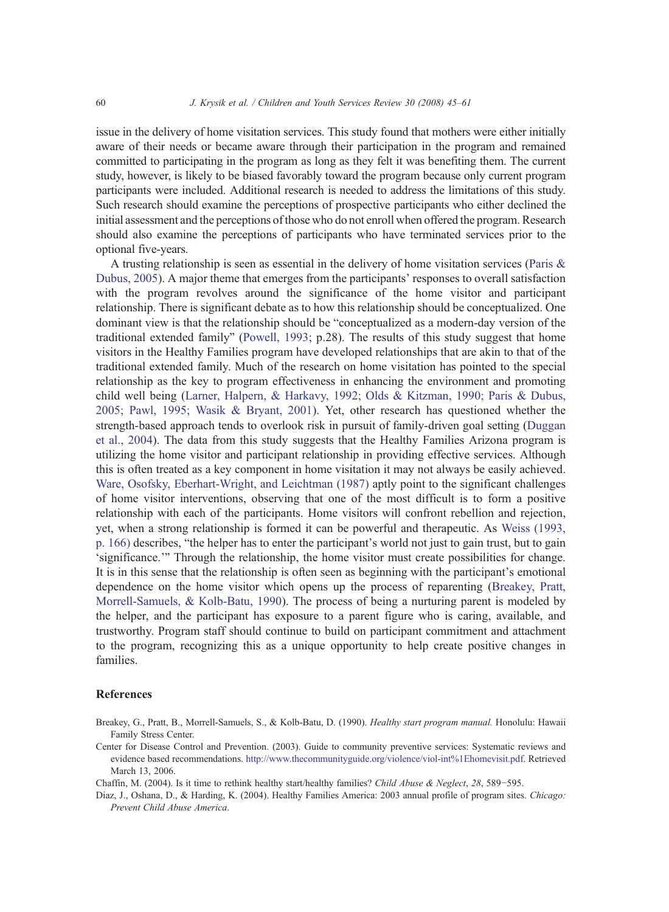<span id="page-15-0"></span>issue in the delivery of home visitation services. This study found that mothers were either initially aware of their needs or became aware through their participation in the program and remained committed to participating in the program as long as they felt it was benefiting them. The current study, however, is likely to be biased favorably toward the program because only current program participants were included. Additional research is needed to address the limitations of this study. Such research should examine the perceptions of prospective participants who either declined the initial assessment and the perceptions of those who do not enroll when offered the program. Research should also examine the perceptions of participants who have terminated services prior to the optional five-years.

A trusting relationship is seen as essential in the delivery of home visitation services ([Paris &](#page-16-0) [Dubus, 2005\)](#page-16-0). A major theme that emerges from the participants' responses to overall satisfaction with the program revolves around the significance of the home visitor and participant relationship. There is significant debate as to how this relationship should be conceptualized. One dominant view is that the relationship should be "conceptualized as a modern-day version of the traditional extended family" ([Powell, 1993](#page-16-0); p.28). The results of this study suggest that home visitors in the Healthy Families program have developed relationships that are akin to that of the traditional extended family. Much of the research on home visitation has pointed to the special relationship as the key to program effectiveness in enhancing the environment and promoting child well being ([Larner, Halpern, & Harkavy, 1992; Olds & Kitzman, 1990; Paris & Dubus,](#page-16-0) [2005; Pawl, 1995; Wasik & Bryant, 2001](#page-16-0)). Yet, other research has questioned whether the strength-based approach tends to overlook risk in pursuit of family-driven goal setting [\(Duggan](#page-16-0) [et al., 2004](#page-16-0)). The data from this study suggests that the Healthy Families Arizona program is utilizing the home visitor and participant relationship in providing effective services. Although this is often treated as a key component in home visitation it may not always be easily achieved. [Ware, Osofsky, Eberhart-Wright, and Leichtman \(1987\)](#page-16-0) aptly point to the significant challenges of home visitor interventions, observing that one of the most difficult is to form a positive relationship with each of the participants. Home visitors will confront rebellion and rejection, yet, when a strong relationship is formed it can be powerful and therapeutic. As [Weiss \(1993,](#page-16-0) [p. 166\)](#page-16-0) describes, "the helper has to enter the participant's world not just to gain trust, but to gain 'significance.'" Through the relationship, the home visitor must create possibilities for change. It is in this sense that the relationship is often seen as beginning with the participant's emotional dependence on the home visitor which opens up the process of reparenting (Breakey, Pratt, Morrell-Samuels, & Kolb-Batu, 1990). The process of being a nurturing parent is modeled by the helper, and the participant has exposure to a parent figure who is caring, available, and trustworthy. Program staff should continue to build on participant commitment and attachment to the program, recognizing this as a unique opportunity to help create positive changes in families.

### References

- Breakey, G., Pratt, B., Morrell-Samuels, S., & Kolb-Batu, D. (1990). Healthy start program manual. Honolulu: Hawaii Family Stress Center.
- Center for Disease Control and Prevention. (2003). Guide to community preventive services: Systematic reviews and evidence based recommendations. [http://www.thecommunityguide.org/violence/viol-int%1Ehomevisit.pdf.](http://www.thecommunityguide.org/violence/viol-int%1Ehomevisit.pdf) Retrieved March 13, 2006.

Chaffin, M. (2004). Is it time to rethink healthy start/healthy families? Child Abuse & Neglect, 28, 589−595.

Diaz, J., Oshana, D., & Harding, K. (2004). Healthy Families America: 2003 annual profile of program sites. Chicago: Prevent Child Abuse America.